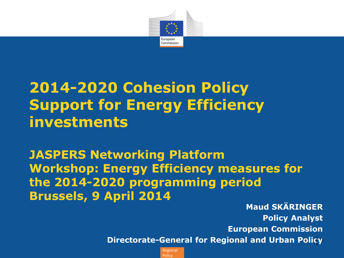

# **2014-2020 Cohesion Policy Support for Energy Efficiency investments**

**JASPERS Networking Platform Workshop: Energy Efficiency measures for the 2014-2020 programming period Brussels, 9 April 2014**

**Maud SKÄRINGER Policy Analyst European Commission Directorate-General for Regional and Urban Policy**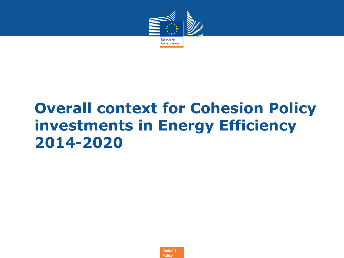

# **Overall context for Cohesion Policy investments in Energy Efficiency 2014-2020**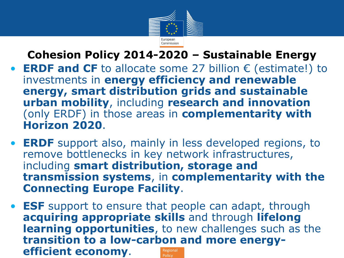

**Cohesion Policy 2014-2020 – Sustainable Energy**

- **ERDF and CF** to allocate some 27 billion € (estimate!) to investments in **energy efficiency and renewable energy, smart distribution grids and sustainable urban mobility**, including **research and innovation** (only ERDF) in those areas in **complementarity with Horizon 2020**.
- **ERDF** support also, mainly in less developed regions, to remove bottlenecks in key network infrastructures, including **smart distribution, storage and transmission systems**, in **complementarity with the Connecting Europe Facility**.
- Regional **Policy** • **ESF** support to ensure that people can adapt, through **acquiring appropriate skills** and through **lifelong learning opportunities**, to new challenges such as the **transition to a low-carbon and more energyefficient economy**.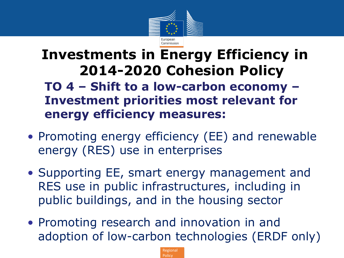

## **Investments in Energy Efficiency in 2014-2020 Cohesion Policy**

**TO 4 – Shift to a low-carbon economy – Investment priorities most relevant for energy efficiency measures:**

- Promoting energy efficiency (EE) and renewable energy (RES) use in enterprises
- Supporting EE, smart energy management and RES use in public infrastructures, including in public buildings, and in the housing sector
- Promoting research and innovation in and adoption of low-carbon technologies (ERDF only)

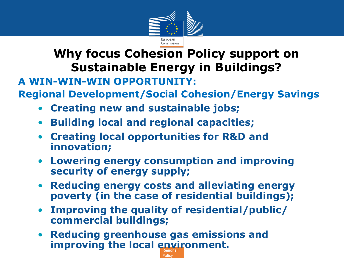

## **Why focus Cohesion Policy support on Sustainable Energy in Buildings?**

#### **A WIN-WIN-WIN OPPORTUNITY:**

**Regional Development/Social Cohesion/Energy Savings**

- **Creating new and sustainable jobs;**
- **Building local and regional capacities;**
- **Creating local opportunities for R&D and innovation;**
- **Lowering energy consumption and improving security of energy supply;**
- **Reducing energy costs and alleviating energy poverty (in the case of residential buildings);**
- **Improving the quality of residential/public/ commercial buildings;**

Policy

**improving the local environment.** • **Reducing greenhouse gas emissions and**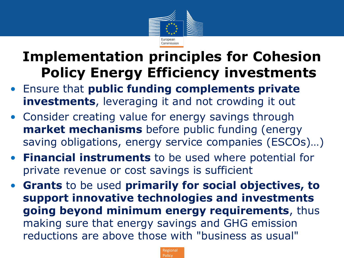

## **Implementation principles for Cohesion Policy Energy Efficiency investments**

- Ensure that **public funding complements private investments**, leveraging it and not crowding it out
- Consider creating value for energy savings through **market mechanisms** before public funding (energy saving obligations, energy service companies (ESCOs)…)
- **Financial instruments** to be used where potential for private revenue or cost savings is sufficient
- **Grants** to be used **primarily for social objectives, to support innovative technologies and investments going beyond minimum energy requirements**, thus making sure that energy savings and GHG emission reductions are above those with "business as usual"

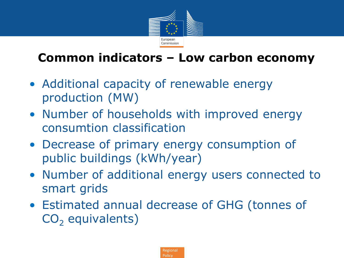

## **Common indicators – Low carbon economy**

- Additional capacity of renewable energy production (MW)
- Number of households with improved energy consumtion classification
- Decrease of primary energy consumption of public buildings (kWh/year)
- Number of additional energy users connected to smart grids
- Estimated annual decrease of GHG (tonnes of  $CO<sub>2</sub>$  equivalents)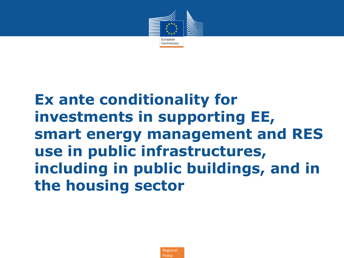

# **Ex ante conditionality for investments in supporting EE, smart energy management and RES use in public infrastructures, including in public buildings, and in the housing sector**

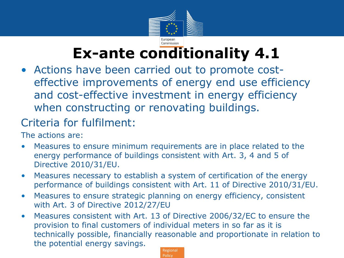

# **Ex-ante conditionality 4.1**

• Actions have been carried out to promote costeffective improvements of energy end use efficiency and cost-effective investment in energy efficiency when constructing or renovating buildings.

## Criteria for fulfilment:

The actions are:

- Measures to ensure minimum requirements are in place related to the energy performance of buildings consistent with Art. 3, 4 and 5 of Directive 2010/31/EU.
- Measures necessary to establish a system of certification of the energy performance of buildings consistent with Art. 11 of Directive 2010/31/EU.
- Measures to ensure strategic planning on energy efficiency, consistent with Art. 3 of Directive 2012/27/EU
- Regional • Measures consistent with Art. 13 of Directive 2006/32/EC to ensure the provision to final customers of individual meters in so far as it is technically possible, financially reasonable and proportionate in relation to the potential energy savings.

**Policy**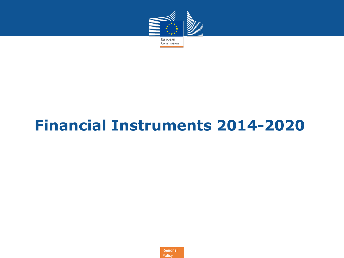

# **Financial Instruments 2014-2020**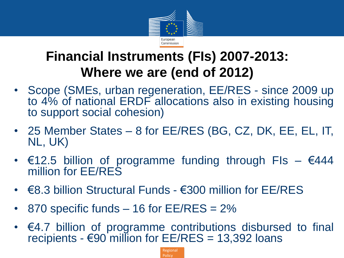

## **Financial Instruments (FIs) 2007-2013: Where we are (end of 2012)**

- Scope (SMEs, urban regeneration, EE/RES since 2009 up to 4% of national ERDF allocations also in existing housing to support social cohesion)
- 25 Member States 8 for EE/RES (BG, CZ, DK, EE, EL, IT, NL, UK)
- $€12.5$  billion of programme funding through FIs  $€444$ million for EE/RES
- €8.3 billion Structural Funds €300 million for EE/RES
- 870 specific funds  $-$  16 for EE/RES = 2%
- €4.7 billion of programme contributions disbursed to final recipients -  $\epsilon$ 90 million for EE/RES = 13,392 loans

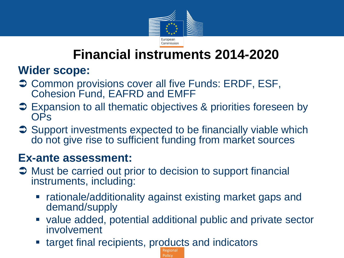

## **Financial instruments 2014-2020**

### **Wider scope:**

- **→ Common provisions cover all five Funds: ERDF, ESF,** Cohesion Fund, EAFRD and EMFF
- **→ Expansion to all thematic objectives & priorities foreseen by** OPs
- **→ Support investments expected to be financially viable which** do not give rise to sufficient funding from market sources

#### **Ex-ante assessment:**

- $\supset$  Must be carried out prior to decision to support financial instruments, including:
	- rationale/additionality against existing market gaps and demand/supply

**Policy** 

- value added, potential additional public and private sector involvement
- Regional target final recipients, products and indicators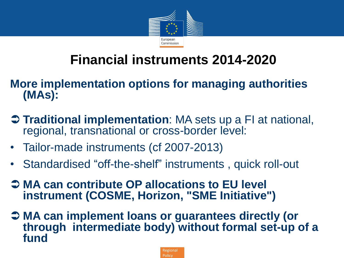

## **Financial instruments 2014-2020**

#### **More implementation options for managing authorities (MAs):**

- **Traditional implementation**: MA sets up a FI at national, regional, transnational or cross-border level:
- Tailor-made instruments (cf 2007-2013)
- Standardised "off-the-shelf" instruments , quick roll-out
- **→ MA can contribute OP allocations to EU level instrument (COSME, Horizon, "SME Initiative")**
- **MA can implement loans or guarantees directly (or through intermediate body) without formal set-up of a fund**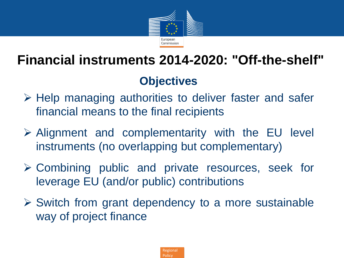

# **Financial instruments 2014-2020: "Off-the-shelf"**

## **Objectives**

- $\triangleright$  Help managing authorities to deliver faster and safer financial means to the final recipients
- $\triangleright$  Alignment and complementarity with the EU level instruments (no overlapping but complementary)
- $\triangleright$  Combining public and private resources, seek for leverage EU (and/or public) contributions
- $\triangleright$  Switch from grant dependency to a more sustainable way of project finance

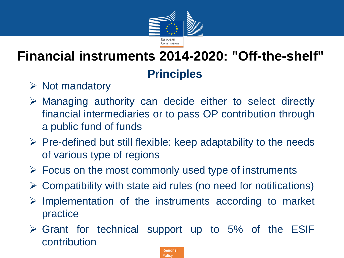

## **Principles Financial instruments 2014-2020: "Off-the-shelf"**

- $\triangleright$  Not mandatory
- Managing authority can decide either to select directly financial intermediaries or to pass OP contribution through a public fund of funds
- $\triangleright$  Pre-defined but still flexible: keep adaptability to the needs of various type of regions
- $\triangleright$  Focus on the most commonly used type of instruments
- $\triangleright$  Compatibility with state aid rules (no need for notifications)
- $\triangleright$  Implementation of the instruments according to market practice
- $\triangleright$  Grant for technical support up to 5% of the ESIF contribution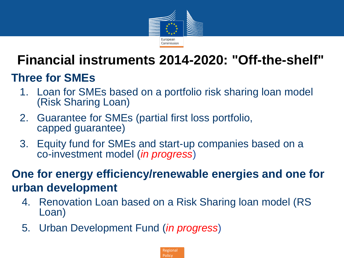

## **Financial instruments 2014-2020: "Off-the-shelf"**

## **Three for SMEs**

- 1. Loan for SMEs based on a portfolio risk sharing loan model (Risk Sharing Loan)
- 2. Guarantee for SMEs (partial first loss portfolio, capped guarantee)
- 3. Equity fund for SMEs and start-up companies based on a co-investment model (*in progress*)

**One for energy efficiency/renewable energies and one for urban development**

- 4. Renovation Loan based on a Risk Sharing loan model (RS Loan)
- 5. Urban Development Fund (*in progress*)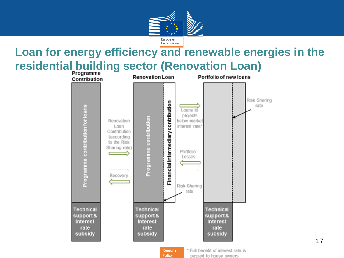

## **Loan for energy efficiency and renewable energies in the residential building sector (Renovation Loan)**



**Policy** 

passed to house owners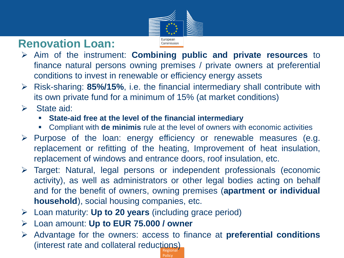

## **Renovation Loan:**

Commission

- Aim of the instrument: **Combining public and private resources** to finance natural persons owning premises / private owners at preferential conditions to invest in renewable or efficiency energy assets
- Risk-sharing: **85%/15%**, i.e. the financial intermediary shall contribute with its own private fund for a minimum of 15% (at market conditions)
- $\triangleright$  State aid:
	- **State-aid free at the level of the financial intermediary**
	- Compliant with **de minimis** rule at the level of owners with economic activities
- $\triangleright$  Purpose of the loan: energy efficiency or renewable measures (e.g. replacement or refitting of the heating, Improvement of heat insulation, replacement of windows and entrance doors, roof insulation, etc.
- Target: Natural, legal persons or independent professionals (economic activity), as well as administrators or other legal bodies acting on behalf and for the benefit of owners, owning premises (**apartment or individual household**), social housing companies, etc.
- Loan maturity: **Up to 20 years** (including grace period)
- Loan amount: **Up to EUR 75.000 / owner**
- Regional Advantage for the owners: access to finance at **preferential conditions** (interest rate and collateral reductions)

Policy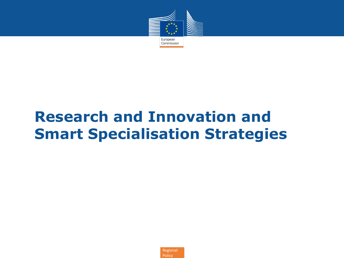

# **Research and Innovation and Smart Specialisation Strategies**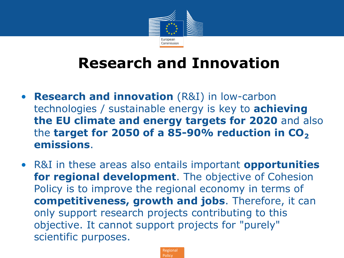

# **Research and Innovation**

- **Research and innovation** (R&I) in low-carbon technologies / sustainable energy is key to **achieving the EU climate and energy targets for 2020** and also the **target for 2050 of a 85-90% reduction in CO**<sub>2</sub> **emissions**.
- R&I in these areas also entails important **opportunities for regional development**. The objective of Cohesion Policy is to improve the regional economy in terms of **competitiveness, growth and jobs**. Therefore, it can only support research projects contributing to this objective. It cannot support projects for "purely" scientific purposes.

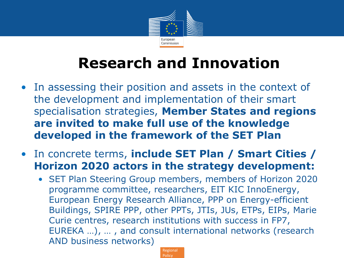

# **Research and Innovation**

- In assessing their position and assets in the context of the development and implementation of their smart specialisation strategies, **Member States and regions are invited to make full use of the knowledge developed in the framework of the SET Plan**
- In concrete terms, **include SET Plan / Smart Cities / Horizon 2020 actors in the strategy development:**
	- SET Plan Steering Group members, members of Horizon 2020 programme committee, researchers, EIT KIC InnoEnergy, European Energy Research Alliance, PPP on Energy-efficient Buildings, SPIRE PPP, other PPTs, JTIs, JUs, ETPs, EIPs, Marie Curie centres, research institutions with success in FP7, EUREKA …), … , and consult international networks (research AND business networks)

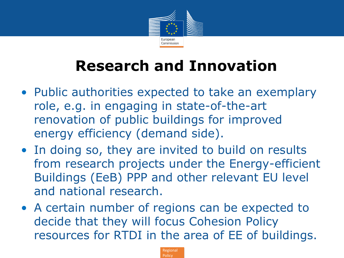

# **Research and Innovation**

- Public authorities expected to take an exemplary role, e.g. in engaging in state-of-the-art renovation of public buildings for improved energy efficiency (demand side).
- In doing so, they are invited to build on results from research projects under the Energy-efficient Buildings (EeB) PPP and other relevant EU level and national research.
- A certain number of regions can be expected to decide that they will focus Cohesion Policy resources for RTDI in the area of EE of buildings.

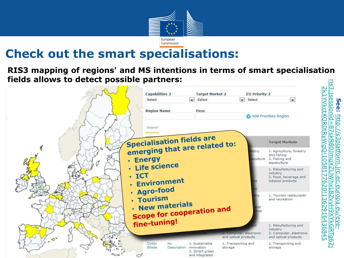

## **Check out the smart specialisations:**

# **RIS3 mapping of regions' and MS intentions in terms of smart specialisation fields allows to detect possible partners:** [http://s3platform.jrc.ec.europa.eu/eye-](http://s3platform.jrc.ec.europa.eu/eye-ris3;jsessionid=87skR80JmqXZLlWhxL8ZvyH9XYkGRTg62j2k1YVkctXQR0tRyWgQ!1058177620!1362916436845) [ris3;jsessionid=87skR80JmqXZLlWhxL8ZvyH9XYkGRTg62j](http://s3platform.jrc.ec.europa.eu/eye-ris3;jsessionid=87skR80JmqXZLlWhxL8ZvyH9XYkGRTg62j2k1YVkctXQR0tRyWgQ!1058177620!1362916436845) ັທ

See: http:

سآ

:jsessionid=

87skR80JmqXZ

WhxL8ZvyH9XYkGRTg6

62011362916436845

's3platform.jrc

j<br>O

curopa.eu/eye

[2k1YVkctXQR0tRyWgQ!1058177620!1362916436845](http://s3platform.jrc.ec.europa.eu/eye-ris3;jsessionid=87skR80JmqXZLlWhxL8ZvyH9XYkGRTg62j2k1YVkctXQR0tRyWgQ!1058177620!1362916436845)

2k1YVkctXQR0tRyWgQ!1058

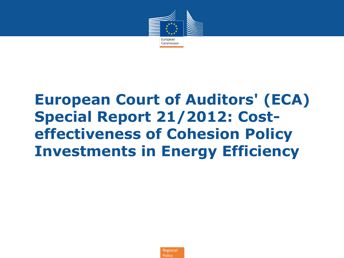

# **European Court of Auditors' (ECA) Special Report 21/2012: Costeffectiveness of Cohesion Policy Investments in Energy Efficiency**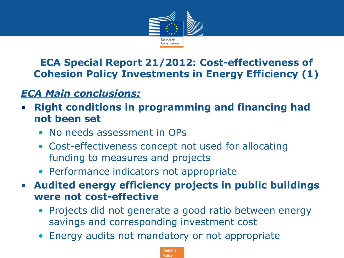

**ECA Special Report 21/2012: Cost-effectiveness of Cohesion Policy Investments in Energy Efficiency (1)**

#### *ECA Main conclusions:*

- **Right conditions in programming and financing had not been set**
	- No needs assessment in OPs
	- Cost-effectiveness concept not used for allocating funding to measures and projects
	- Performance indicators not appropriate
- **Audited energy efficiency projects in public buildings were not cost-effective**
	- Projects did not generate a good ratio between energy savings and corresponding investment cost
	- Energy audits not mandatory or not appropriate

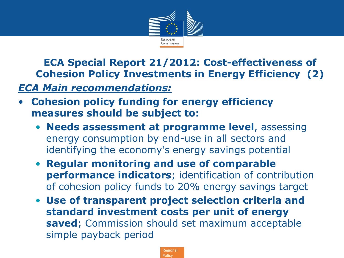

**ECA Special Report 21/2012: Cost-effectiveness of Cohesion Policy Investments in Energy Efficiency (2)**

#### *ECA Main recommendations:*

- **Cohesion policy funding for energy efficiency measures should be subject to:**
	- **Needs assessment at programme level**, assessing energy consumption by end-use in all sectors and identifying the economy's energy savings potential
	- **Regular monitoring and use of comparable performance indicators**; identification of contribution of cohesion policy funds to 20% energy savings target
	- **Use of transparent project selection criteria and standard investment costs per unit of energy saved**; Commission should set maximum acceptable simple payback period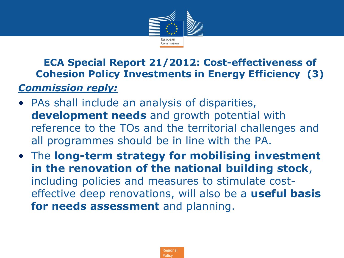

**ECA Special Report 21/2012: Cost-effectiveness of Cohesion Policy Investments in Energy Efficiency (3)** *Commission reply:*

- PAs shall include an analysis of disparities, **development needs** and growth potential with reference to the TOs and the territorial challenges and all programmes should be in line with the PA.
- The **long-term strategy for mobilising investment in the renovation of the national building stock**, including policies and measures to stimulate costeffective deep renovations, will also be a **useful basis for needs assessment** and planning.

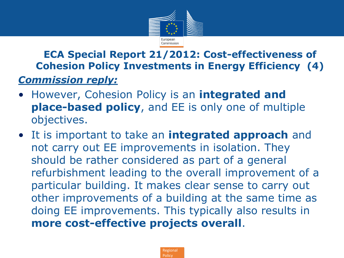

#### **ECA Special Report 21/2012: Cost-effectiveness of Cohesion Policy Investments in Energy Efficiency (4)** *Commission reply:*

- However, Cohesion Policy is an **integrated and place-based policy**, and EE is only one of multiple objectives.
- It is important to take an **integrated approach** and not carry out EE improvements in isolation. They should be rather considered as part of a general refurbishment leading to the overall improvement of a particular building. It makes clear sense to carry out other improvements of a building at the same time as doing EE improvements. This typically also results in **more cost-effective projects overall**.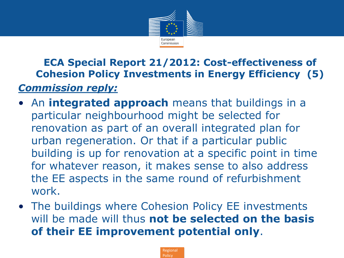

**ECA Special Report 21/2012: Cost-effectiveness of Cohesion Policy Investments in Energy Efficiency (5)** *Commission reply:*

- An **integrated approach** means that buildings in a particular neighbourhood might be selected for renovation as part of an overall integrated plan for urban regeneration. Or that if a particular public building is up for renovation at a specific point in time for whatever reason, it makes sense to also address the EE aspects in the same round of refurbishment work.
- The buildings where Cohesion Policy EE investments will be made will thus **not be selected on the basis of their EE improvement potential only**.

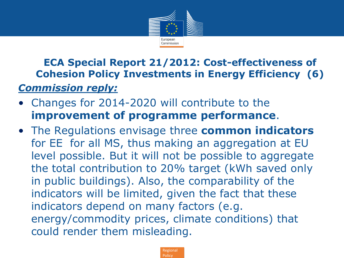

**ECA Special Report 21/2012: Cost-effectiveness of Cohesion Policy Investments in Energy Efficiency (6)** *Commission reply:*

- Changes for 2014-2020 will contribute to the **improvement of programme performance**.
- The Regulations envisage three **common indicators** for EE for all MS, thus making an aggregation at EU level possible. But it will not be possible to aggregate the total contribution to 20% target (kWh saved only in public buildings). Also, the comparability of the indicators will be limited, given the fact that these indicators depend on many factors (e.g. energy/commodity prices, climate conditions) that could render them misleading.

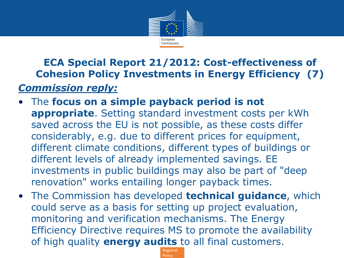

#### **ECA Special Report 21/2012: Cost-effectiveness of Cohesion Policy Investments in Energy Efficiency (7)** *Commission reply:*

- The **focus on a simple payback period is not appropriate**. Setting standard investment costs per kWh saved across the EU is not possible, as these costs differ considerably, e.g. due to different prices for equipment, different climate conditions, different types of buildings or different levels of already implemented savings. EE investments in public buildings may also be part of "deep renovation" works entailing longer payback times.
- The Commission has developed **technical guidance**, which could serve as a basis for setting up project evaluation, monitoring and verification mechanisms. The Energy Efficiency Directive requires MS to promote the availability of high quality **energy audits** to all final customers.

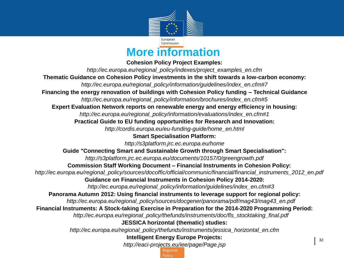

**More information**

**Cohesion Policy Project Examples:**

Regional │ <sup>32</sup> *http://ec.europa.eu/regional\_policy/indexes/project\_examples\_en.cfm*  **Thematic Guidance on Cohesion Policy investments in the shift towards a low-carbon economy:** *http://ec.europa.eu/regional\_policy/information/guidelines/index\_en.cfm#7* **Financing the energy renovation of buildings with Cohesion Policy funding – Technical Guidance** *http://ec.europa.eu/regional\_policy/information/brochures/index\_en.cfm#5* **Expert Evaluation Network reports on renewable energy and energy efficiency in housing:** *http://ec.europa.eu/regional\_policy/information/evaluations/index\_en.cfm#1* **Practical Guide to EU funding opportunities for Research and Innovation:** *http://cordis.europa.eu/eu-funding-guide/home\_en.html* **Smart Specialisation Platform:** *http://s3platform.jrc.ec.europa.eu/home* **Guide "Connecting Smart and Sustainable Growth through Smart Specialisation":** *http://s3platform.jrc.ec.europa.eu/documents/10157/0/greengrowth.pdf* **Commission Staff Working Document – Financial Instruments in Cohesion Policy:** *http://ec.europa.eu/regional\_policy/sources/docoffic/official/communic/financial/financial\_instruments\_2012\_en.pdf* **Guidance on Financial Instruments in Cohesion Policy 2014-2020:** *http://ec.europa.eu/regional\_policy/information/guidelines/index\_en.cfm#3* **Panorama Autumn 2012: Using financial instruments to leverage support for regional policy:**  *http://ec.europa.eu/regional\_policy/sources/docgener/panorama/pdf/mag43/mag43\_en.pdf* **Financial Instruments: A Stock-taking Exercise in Preparation for the 2014-2020 Programming Period:** *http://ec.europa.eu/regional\_policy/thefunds/instruments/doc/fls\_stocktaking\_final.pdf* **JESSICA horizontal (thematic) studies:**  *http://ec.europa.eu/regional\_policy/thefunds/instruments/jessica\_horizontal\_en.cfm* **Intelligent Energy Europe Projects:** *http://eaci-projects.eu/iee/page/Page.jsp*

**Policy**